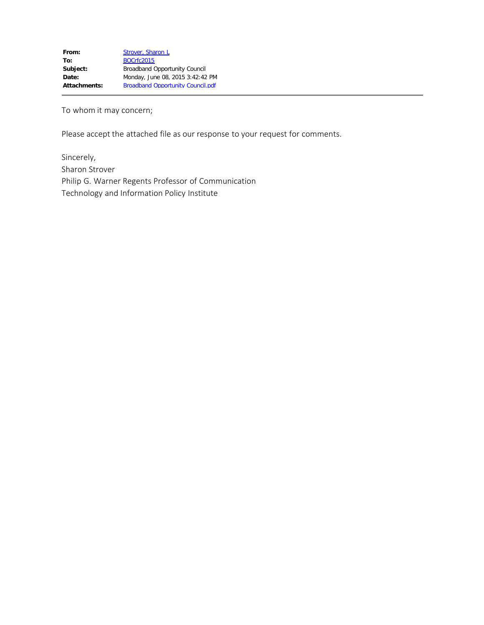To whom it may concern;

Please accept the attached file as our response to your request for comments.

Sincerely, Sharon Strover Philip G. Warner Regents Professor of Communication Technology and Information Policy Institute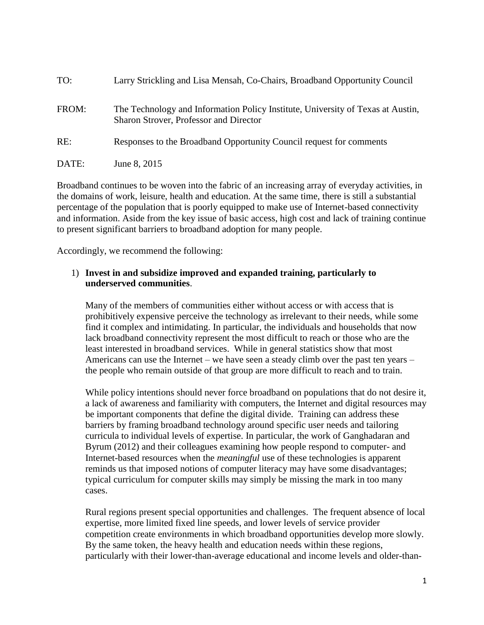| TO:   | Larry Strickling and Lisa Mensah, Co-Chairs, Broadband Opportunity Council                                                |
|-------|---------------------------------------------------------------------------------------------------------------------------|
| FROM: | The Technology and Information Policy Institute, University of Texas at Austin,<br>Sharon Strover, Professor and Director |
| RE:   | Responses to the Broadband Opportunity Council request for comments                                                       |
| DATE: | June 8, 2015                                                                                                              |

Broadband continues to be woven into the fabric of an increasing array of everyday activities, in the domains of work, leisure, health and education. At the same time, there is still a substantial percentage of the population that is poorly equipped to make use of Internet-based connectivity and information. Aside from the key issue of basic access, high cost and lack of training continue to present significant barriers to broadband adoption for many people.

Accordingly, we recommend the following:

## 1) **Invest in and subsidize improved and expanded training, particularly to underserved communities**.

Many of the members of communities either without access or with access that is prohibitively expensive perceive the technology as irrelevant to their needs, while some find it complex and intimidating. In particular, the individuals and households that now lack broadband connectivity represent the most difficult to reach or those who are the least interested in broadband services. While in general statistics show that most Americans can use the Internet – we have seen a steady climb over the past ten years – the people who remain outside of that group are more difficult to reach and to train.

While policy intentions should never force broadband on populations that do not desire it, a lack of awareness and familiarity with computers, the Internet and digital resources may be important components that define the digital divide. Training can address these barriers by framing broadband technology around specific user needs and tailoring curricula to individual levels of expertise. In particular, the work of Ganghadaran and Byrum (2012) and their colleagues examining how people respond to computer- and Internet-based resources when the *meaningful* use of these technologies is apparent reminds us that imposed notions of computer literacy may have some disadvantages; typical curriculum for computer skills may simply be missing the mark in too many cases.

Rural regions present special opportunities and challenges. The frequent absence of local expertise, more limited fixed line speeds, and lower levels of service provider competition create environments in which broadband opportunities develop more slowly. By the same token, the heavy health and education needs within these regions, particularly with their lower-than-average educational and income levels and older-than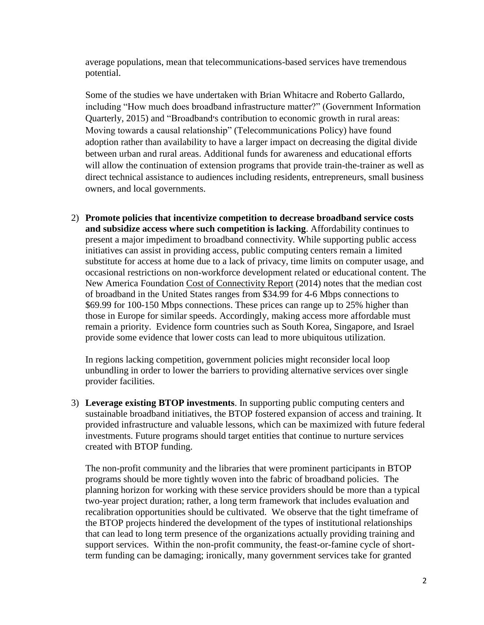average populations, mean that telecommunications-based services have tremendous potential.

Some of the studies we have undertaken with Brian Whitacre and Roberto Gallardo, including "How much does broadband infrastructure matter?" (Government Information Quarterly, 2015) and ["Broadband׳s contribution to economic growth in rural areas:](http://www.sciencedirect.com/science/article/pii/S0308596114000949)  [Moving towards a causal relationship"](http://www.sciencedirect.com/science/article/pii/S0308596114000949) (Telecommunications Policy) have found adoption rather than availability to have a larger impact on decreasing the digital divide between urban and rural areas. Additional funds for awareness and educational efforts will allow the continuation of extension programs that provide train-the-trainer as well as direct technical assistance to audiences including residents, entrepreneurs, small business owners, and local governments.

2) **Promote policies that incentivize competition to decrease broadband service costs and subsidize access where such competition is lacking**. Affordability continues to present a major impediment to broadband connectivity. While supporting public access initiatives can assist in providing access, public computing centers remain a limited substitute for access at home due to a lack of privacy, time limits on computer usage, and occasional restrictions on non-workforce development related or educational content. The New America Foundation Cost of Connectivity Report (2014) notes that the median cost of broadband in the United States ranges from \$34.99 for 4-6 Mbps connections to \$69.99 for 100-150 Mbps connections. These prices can range up to 25% higher than those in Europe for similar speeds. Accordingly, making access more affordable must remain a priority. Evidence form countries such as South Korea, Singapore, and Israel provide some evidence that lower costs can lead to more ubiquitous utilization.

In regions lacking competition, government policies might reconsider local loop unbundling in order to lower the barriers to providing alternative services over single provider facilities.

3) **Leverage existing BTOP investments**. In supporting public computing centers and sustainable broadband initiatives, the BTOP fostered expansion of access and training. It provided infrastructure and valuable lessons, which can be maximized with future federal investments. Future programs should target entities that continue to nurture services created with BTOP funding.

The non-profit community and the libraries that were prominent participants in BTOP programs should be more tightly woven into the fabric of broadband policies. The planning horizon for working with these service providers should be more than a typical two-year project duration; rather, a long term framework that includes evaluation and recalibration opportunities should be cultivated. We observe that the tight timeframe of the BTOP projects hindered the development of the types of institutional relationships that can lead to long term presence of the organizations actually providing training and support services. Within the non-profit community, the feast-or-famine cycle of shortterm funding can be damaging; ironically, many government services take for granted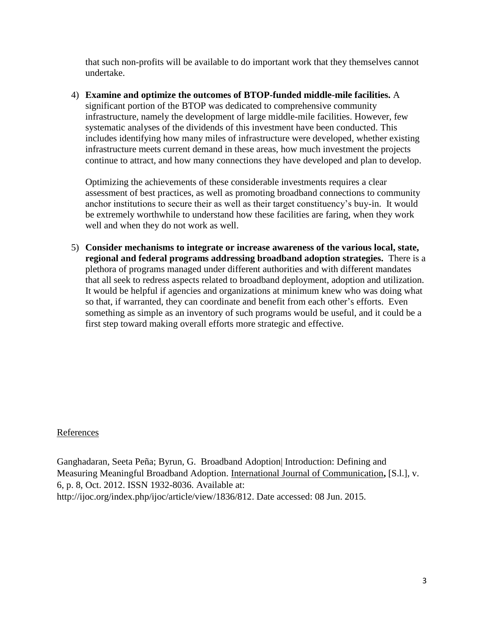that such non-profits will be available to do important work that they themselves cannot undertake.

4) **Examine and optimize the outcomes of BTOP-funded middle-mile facilities.** A significant portion of the BTOP was dedicated to comprehensive community infrastructure, namely the development of large middle-mile facilities. However, few systematic analyses of the dividends of this investment have been conducted. This includes identifying how many miles of infrastructure were developed, whether existing infrastructure meets current demand in these areas, how much investment the projects continue to attract, and how many connections they have developed and plan to develop.

Optimizing the achievements of these considerable investments requires a clear assessment of best practices, as well as promoting broadband connections to community anchor institutions to secure their as well as their target constituency's buy-in. It would be extremely worthwhile to understand how these facilities are faring, when they work well and when they do not work as well.

5) **Consider mechanisms to integrate or increase awareness of the various local, state, regional and federal programs addressing broadband adoption strategies.** There is a plethora of programs managed under different authorities and with different mandates that all seek to redress aspects related to broadband deployment, adoption and utilization. It would be helpful if agencies and organizations at minimum knew who was doing what so that, if warranted, they can coordinate and benefit from each other's efforts. Even something as simple as an inventory of such programs would be useful, and it could be a first step toward making overall efforts more strategic and effective.

## References

Ganghadaran, Seeta Peña; Byrun, G. Broadband Adoption| Introduction: Defining and Measuring Meaningful Broadband Adoption. International Journal of Communication**,** [S.l.], v. 6, p. 8, Oct. 2012. ISSN 1932-8036. Available at: [http://ijoc.org/index.php/ijoc/article/view/1836/812.](http://ijoc.org/index.php/ijoc/article/view/1836/812) Date accessed: 08 Jun. 2015.